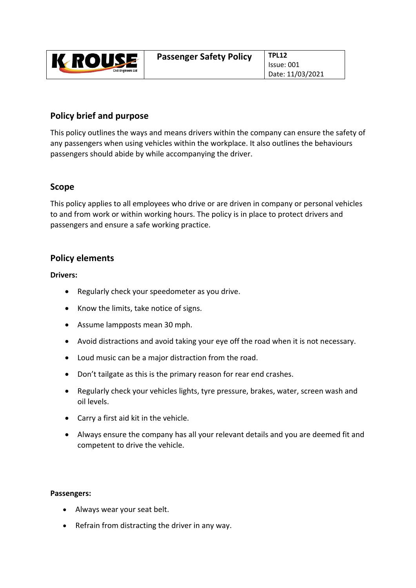| ROUS<br><b>Civil Engineers Ltd</b> | <b>Passenger Safety Policy</b> | <b>TPL12</b> |
|------------------------------------|--------------------------------|--------------|
|                                    |                                | Issue:       |
|                                    |                                | Date:        |

# **Policy brief and purpose**

This policy outlines the ways and means drivers within the company can ensure the safety of any passengers when using vehicles within the workplace. It also outlines the behaviours passengers should abide by while accompanying the driver.

### **Scope**

This policy applies to all employees who drive or are driven in company or personal vehicles to and from work or within working hours. The policy is in place to protect drivers and passengers and ensure a safe working practice.

## **Policy elements**

#### **Drivers:**

- Regularly check your speedometer as you drive.
- Know the limits, take notice of signs.
- Assume lampposts mean 30 mph.
- Avoid distractions and avoid taking your eye off the road when it is not necessary.
- Loud music can be a major distraction from the road.
- Don't tailgate as this is the primary reason for rear end crashes.
- Regularly check your vehicles lights, tyre pressure, brakes, water, screen wash and oil levels.
- Carry a first aid kit in the vehicle.
- Always ensure the company has all your relevant details and you are deemed fit and competent to drive the vehicle.

#### **Passengers:**

- Always wear your seat belt.
- Refrain from distracting the driver in any way.